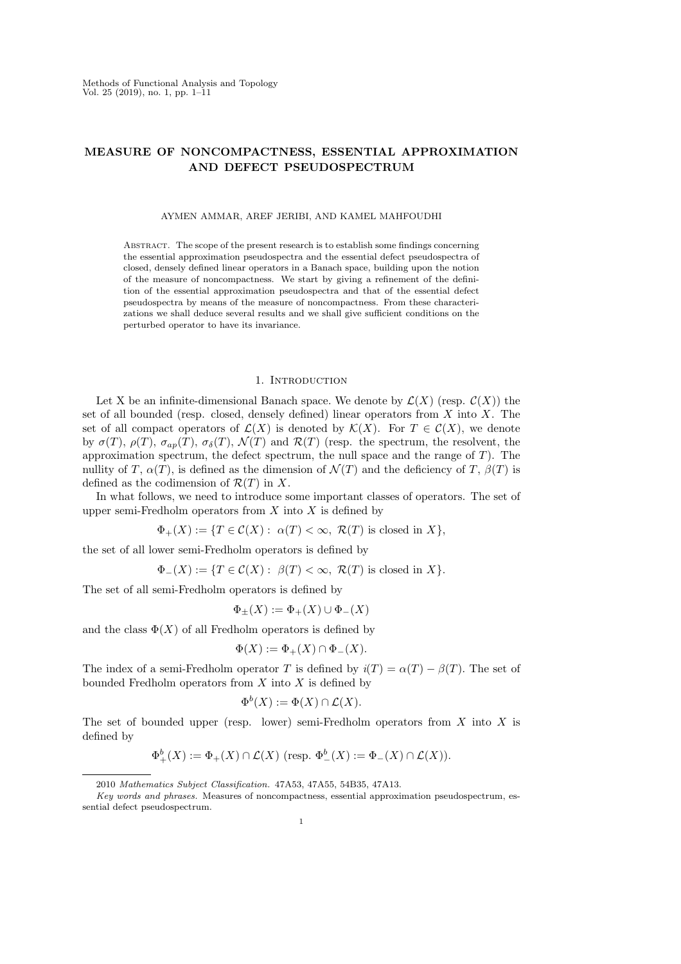# MEASURE OF NONCOMPACTNESS, ESSENTIAL APPROXIMATION AND DEFECT PSEUDOSPECTRUM

## AYMEN AMMAR, AREF JERIBI, AND KAMEL MAHFOUDHI

Abstract. The scope of the present research is to establish some findings concerning the essential approximation pseudospectra and the essential defect pseudospectra of closed, densely defined linear operators in a Banach space, building upon the notion of the measure of noncompactness. We start by giving a refinement of the definition of the essential approximation pseudospectra and that of the essential defect pseudospectra by means of the measure of noncompactness. From these characterizations we shall deduce several results and we shall give sufficient conditions on the perturbed operator to have its invariance.

### 1. INTRODUCTION

Let X be an infinite-dimensional Banach space. We denote by  $\mathcal{L}(X)$  (resp.  $\mathcal{C}(X)$ ) the set of all bounded (resp. closed, densely defined) linear operators from  $X$  into  $X$ . The set of all compact operators of  $\mathcal{L}(X)$  is denoted by  $\mathcal{K}(X)$ . For  $T \in \mathcal{C}(X)$ , we denote by  $\sigma(T)$ ,  $\rho(T)$ ,  $\sigma_{ap}(T)$ ,  $\sigma_{\delta}(T)$ ,  $\mathcal{N}(T)$  and  $\mathcal{R}(T)$  (resp. the spectrum, the resolvent, the approximation spectrum, the defect spectrum, the null space and the range of  $T$ ). The nullity of T,  $\alpha(T)$ , is defined as the dimension of  $\mathcal{N}(T)$  and the deficiency of T,  $\beta(T)$  is defined as the codimension of  $\mathcal{R}(T)$  in X.

In what follows, we need to introduce some important classes of operators. The set of upper semi-Fredholm operators from  $X$  into  $X$  is defined by

$$
\Phi_+(X) := \{ T \in \mathcal{C}(X) : \alpha(T) < \infty, \ \mathcal{R}(T) \text{ is closed in } X \},
$$

the set of all lower semi-Fredholm operators is defined by

$$
\Phi_{-}(X) := \{ T \in \mathcal{C}(X) : \ \beta(T) < \infty, \ \mathcal{R}(T) \ \text{is closed in} \ X \}.
$$

The set of all semi-Fredholm operators is defined by

$$
\Phi_{\pm}(X) := \Phi_{+}(X) \cup \Phi_{-}(X)
$$

and the class  $\Phi(X)$  of all Fredholm operators is defined by

$$
\Phi(X) := \Phi_+(X) \cap \Phi_-(X).
$$

The index of a semi-Fredholm operator T is defined by  $i(T) = \alpha(T) - \beta(T)$ . The set of bounded Fredholm operators from  $X$  into  $X$  is defined by

$$
\Phi^b(X) := \Phi(X) \cap \mathcal{L}(X).
$$

The set of bounded upper (resp. lower) semi-Fredholm operators from  $X$  into  $X$  is defined by

$$
\Phi_+^b(X) := \Phi_+(X) \cap \mathcal{L}(X) \text{ (resp. } \Phi_-^b(X) := \Phi_-(X) \cap \mathcal{L}(X)).
$$

<sup>2010</sup> Mathematics Subject Classification. 47A53, 47A55, 54B35, 47A13.

Key words and phrases. Measures of noncompactness, essential approximation pseudospectrum, essential defect pseudospectrum.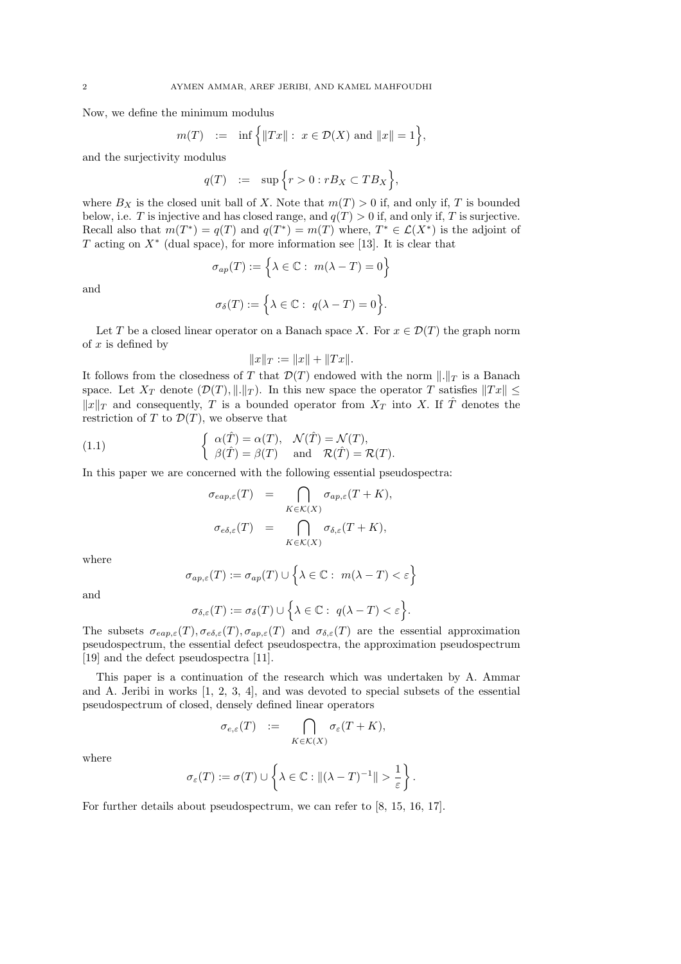Now, we define the minimum modulus

$$
m(T) := \inf \{ ||Tx|| : x \in \mathcal{D}(X) \text{ and } ||x|| = 1 \},\
$$

and the surjectivity modulus

$$
q(T) := \sup \Big\{ r > 0 : r B_X \subset T B_X \Big\},\
$$

where  $B_X$  is the closed unit ball of X. Note that  $m(T) > 0$  if, and only if, T is bounded below, i.e. T is injective and has closed range, and  $q(T) > 0$  if, and only if, T is surjective. Recall also that  $m(T^*) = q(T)$  and  $q(T^*) = m(T)$  where,  $T^* \in \mathcal{L}(X^*)$  is the adjoint of T acting on  $X^*$  (dual space), for more information see [13]. It is clear that

$$
\sigma_{ap}(T) := \left\{ \lambda \in \mathbb{C} : m(\lambda - T) = 0 \right\}
$$

and

$$
\sigma_{\delta}(T) := \Big\{\lambda \in \mathbb{C} : q(\lambda - T) = 0\Big\}.
$$

Let T be a closed linear operator on a Banach space X. For  $x \in \mathcal{D}(T)$  the graph norm of  $x$  is defined by

$$
||x||_T := ||x|| + ||Tx||.
$$

It follows from the closedness of T that  $\mathcal{D}(T)$  endowed with the norm  $\|.\|_T$  is a Banach space. Let  $X_T$  denote  $(\mathcal{D}(T), \|\cdot\|_T)$ . In this new space the operator T satisfies  $\|Tx\| \le$  $||x||_T$  and consequently, T is a bounded operator from  $X_T$  into X. If T denotes the restriction of  $T$  to  $\mathcal{D}(T)$ , we observe that

(1.1) 
$$
\begin{cases} \alpha(\hat{T}) = \alpha(T), & \mathcal{N}(\hat{T}) = \mathcal{N}(T), \\ \beta(\hat{T}) = \beta(T) & \text{and} \quad \mathcal{R}(\hat{T}) = \mathcal{R}(T). \end{cases}
$$

In this paper we are concerned with the following essential pseudospectra:

$$
\sigma_{\text{cap},\varepsilon}(T) = \bigcap_{K \in \mathcal{K}(X)} \sigma_{\text{ap},\varepsilon}(T+K),
$$
  

$$
\sigma_{\text{e}\delta,\varepsilon}(T) = \bigcap_{K \in \mathcal{K}(X)} \sigma_{\delta,\varepsilon}(T+K),
$$

where

and

$$
\sigma_{ap,\varepsilon}(T) := \sigma_{ap}(T) \cup \left\{ \lambda \in \mathbb{C} : m(\lambda - T) < \varepsilon \right\}
$$

$$
\sigma_{\delta,\varepsilon}(T) := \sigma_{\delta}(T) \cup \Big\{\lambda \in \mathbb{C} : q(\lambda - T) < \varepsilon\Big\}.
$$

The subsets  $\sigma_{\text{eap},\varepsilon}(T), \sigma_{\varepsilon\delta,\varepsilon}(T), \sigma_{\text{ap},\varepsilon}(T)$  and  $\sigma_{\delta,\varepsilon}(T)$  are the essential approximation pseudospectrum, the essential defect pseudospectra, the approximation pseudospectrum [19] and the defect pseudospectra [11].

This paper is a continuation of the research which was undertaken by A. Ammar and A. Jeribi in works [1, 2, 3, 4], and was devoted to special subsets of the essential pseudospectrum of closed, densely defined linear operators

$$
\sigma_{e,\varepsilon}(T) \quad := \quad \bigcap_{K \in \mathcal{K}(X)} \sigma_{\varepsilon}(T+K),
$$

where

$$
\sigma_{\varepsilon}(T) := \sigma(T) \cup \left\{ \lambda \in \mathbb{C} : \|(\lambda - T)^{-1}\| > \frac{1}{\varepsilon} \right\}.
$$

For further details about pseudospectrum, we can refer to [8, 15, 16, 17].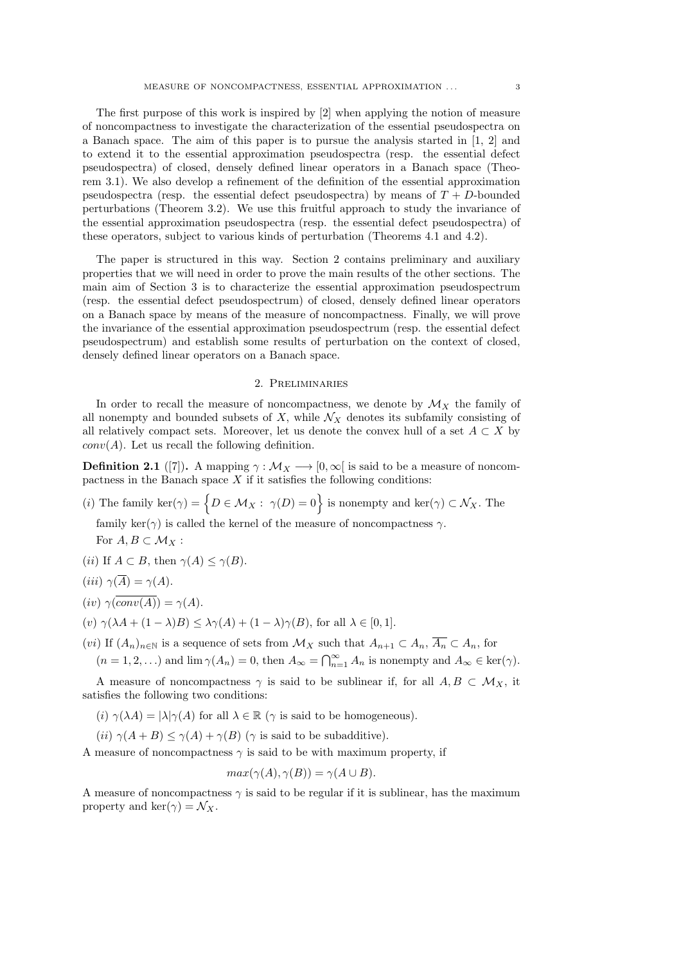The first purpose of this work is inspired by [2] when applying the notion of measure of noncompactness to investigate the characterization of the essential pseudospectra on a Banach space. The aim of this paper is to pursue the analysis started in [1, 2] and to extend it to the essential approximation pseudospectra (resp. the essential defect pseudospectra) of closed, densely defined linear operators in a Banach space (Theorem 3.1). We also develop a refinement of the definition of the essential approximation pseudospectra (resp. the essential defect pseudospectra) by means of  $T + D$ -bounded perturbations (Theorem 3.2). We use this fruitful approach to study the invariance of the essential approximation pseudospectra (resp. the essential defect pseudospectra) of these operators, subject to various kinds of perturbation (Theorems 4.1 and 4.2).

The paper is structured in this way. Section 2 contains preliminary and auxiliary properties that we will need in order to prove the main results of the other sections. The main aim of Section 3 is to characterize the essential approximation pseudospectrum (resp. the essential defect pseudospectrum) of closed, densely defined linear operators on a Banach space by means of the measure of noncompactness. Finally, we will prove the invariance of the essential approximation pseudospectrum (resp. the essential defect pseudospectrum) and establish some results of perturbation on the context of closed, densely defined linear operators on a Banach space.

#### 2. Preliminaries

In order to recall the measure of noncompactness, we denote by  $\mathcal{M}_X$  the family of all nonempty and bounded subsets of  $X$ , while  $\mathcal{N}_X$  denotes its subfamily consisting of all relatively compact sets. Moreover, let us denote the convex hull of a set  $A \subset X$  by  $conv(A)$ . Let us recall the following definition.

**Definition 2.1** ([7]). A mapping  $\gamma : \mathcal{M}_X \longrightarrow [0, \infty]$  is said to be a measure of noncompactness in the Banach space  $X$  if it satisfies the following conditions:

(i) The family ker( $\gamma$ ) =  $\{D \in M_X : \gamma(D) = 0\}$  is nonempty and ker( $\gamma$ )  $\subset N_X$ . The family ker( $\gamma$ ) is called the kernel of the measure of noncompactness  $\gamma$ .

For  $A, B \subset \mathcal{M}_X$ :

- (*ii*) If  $A \subset B$ , then  $\gamma(A) \leq \gamma(B)$ .
- (iii)  $\gamma(\overline{A}) = \gamma(A)$ .
- $(iv)$   $\gamma(\overline{conv(A)}) = \gamma(A).$
- (v)  $\gamma(\lambda A + (1 \lambda)B) \leq \lambda \gamma(A) + (1 \lambda) \gamma(B)$ , for all  $\lambda \in [0, 1]$ .

(vi) If  $(A_n)_{n\in\mathbb{N}}$  is a sequence of sets from  $\mathcal{M}_X$  such that  $A_{n+1}\subset A_n$ ,  $\overline{A_n}\subset A_n$ , for

 $(n = 1, 2, ...)$  and  $\lim_{\gamma(A_n) = 0}$ , then  $A_{\infty} = \bigcap_{n=1}^{\infty} A_n$  is nonempty and  $A_{\infty} \in \text{ker}(\gamma)$ .

A measure of noncompactness  $\gamma$  is said to be sublinear if, for all  $A, B \subset M_X$ , it satisfies the following two conditions:

(i)  $\gamma(\lambda A) = |\lambda| \gamma(A)$  for all  $\lambda \in \mathbb{R}$  ( $\gamma$  is said to be homogeneous).

(ii)  $\gamma(A+B) \leq \gamma(A) + \gamma(B)$  ( $\gamma$  is said to be subadditive).

A measure of noncompactness  $\gamma$  is said to be with maximum property, if

$$
max(\gamma(A), \gamma(B)) = \gamma(A \cup B).
$$

A measure of noncompactness  $\gamma$  is said to be regular if it is sublinear, has the maximum property and ker( $\gamma$ ) =  $\mathcal{N}_X$ .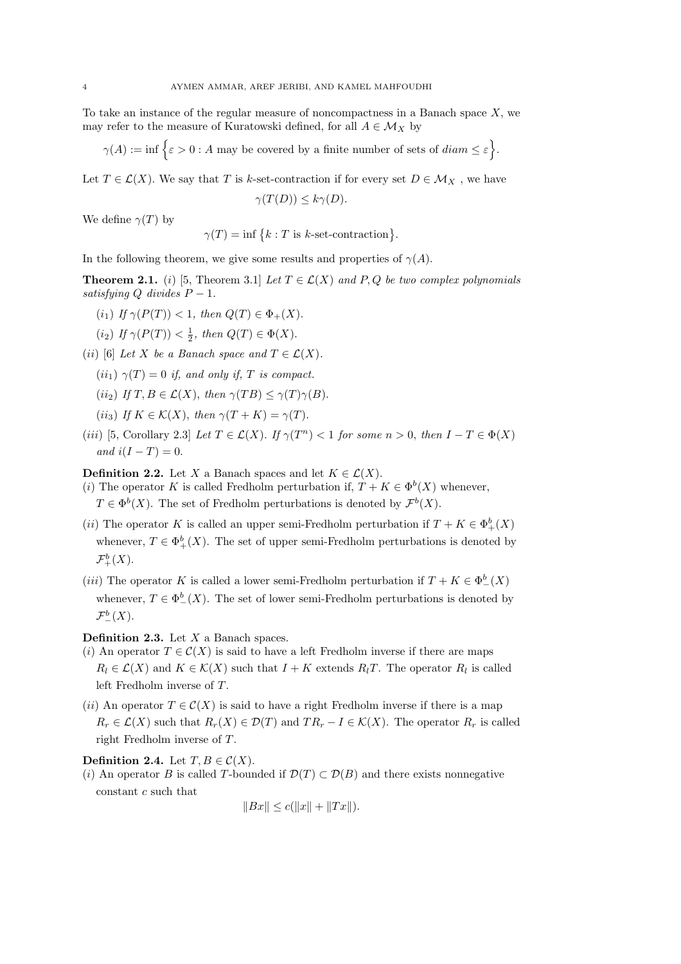To take an instance of the regular measure of noncompactness in a Banach space  $X$ , we may refer to the measure of Kuratowski defined, for all  $A \in \mathcal{M}_X$  by

 $\gamma(A) := \inf \{ \varepsilon > 0 : A \text{ may be covered by a finite number of sets of } \n\{diam \leq \varepsilon \}.$ 

Let  $T \in \mathcal{L}(X)$ . We say that T is k-set-contraction if for every set  $D \in \mathcal{M}_X$ , we have

$$
\gamma(T(D)) \leq k \gamma(D).
$$

We define  $\gamma(T)$  by

 $\gamma(T) = \inf \{k : T \text{ is } k\text{-set-contraction}\}.$ 

In the following theorem, we give some results and properties of  $\gamma(A)$ .

**Theorem 2.1.** (i) [5, Theorem 3.1] *Let*  $T \in \mathcal{L}(X)$  *and*  $P, Q$  *be two complex polynomials satisfying*  $Q$  *divides*  $P-1$ *.* 

- $(i_1)$  *If*  $\gamma(P(T)) < 1$ *, then*  $Q(T) \in \Phi_+(X)$ *.*
- $(i_2)$  *If*  $\gamma(P(T)) < \frac{1}{2}$ *, then*  $Q(T) \in \Phi(X)$ *.*
- (*ii*) [6] *Let* X *be a Banach space and*  $T \in \mathcal{L}(X)$ *.* 
	- $(ii_1)$   $\gamma(T) = 0$  *if, and only if, T is compact.*
	- (ii<sub>2</sub>) *If*  $T, B \in \mathcal{L}(X)$ , *then*  $\gamma(TB) \leq \gamma(T)\gamma(B)$ .
	- (*ii*<sub>3</sub>) *If*  $K \in \mathcal{K}(X)$ , *then*  $\gamma(T+K) = \gamma(T)$ .
- (*iii*) [5, Corollary 2.3] *Let*  $T \in \mathcal{L}(X)$ *. If*  $\gamma(T^n) < 1$  *for some*  $n > 0$ *, then*  $I T \in \Phi(X)$ *and*  $i(I - T) = 0$ .

**Definition 2.2.** Let X a Banach spaces and let  $K \in \mathcal{L}(X)$ .

(i) The operator K is called Fredholm perturbation if,  $T + K \in \Phi^b(X)$  whenever,

 $T \in \Phi^b(X)$ . The set of Fredholm perturbations is denoted by  $\mathcal{F}^b(X)$ .

- (*ii*) The operator K is called an upper semi-Fredholm perturbation if  $T + K \in \Phi^b_+(X)$ whenever,  $T \in \Phi_{+}^{b}(X)$ . The set of upper semi-Fredholm perturbations is denoted by  $\mathcal{F}^b_+(X)$ .
- (*iii*) The operator K is called a lower semi-Fredholm perturbation if  $T + K \in \Phi^b_-(X)$ whenever,  $T \in \Phi_{-}^{b}(X)$ . The set of lower semi-Fredholm perturbations is denoted by  $\mathcal{F}_{-}^{b}(X).$

**Definition 2.3.** Let  $X$  a Banach spaces.

- (i) An operator  $T \in \mathcal{C}(X)$  is said to have a left Fredholm inverse if there are maps  $R_l \in \mathcal{L}(X)$  and  $K \in \mathcal{K}(X)$  such that  $I + K$  extends  $R_lT$ . The operator  $R_l$  is called left Fredholm inverse of T.
- (ii) An operator  $T \in \mathcal{C}(X)$  is said to have a right Fredholm inverse if there is a map  $R_r \in \mathcal{L}(X)$  such that  $R_r(X) \in \mathcal{D}(T)$  and  $TR_r - I \in \mathcal{K}(X)$ . The operator  $R_r$  is called right Fredholm inverse of T.

**Definition 2.4.** Let  $T, B \in \mathcal{C}(X)$ .

(i) An operator B is called T-bounded if  $\mathcal{D}(T) \subset \mathcal{D}(B)$  and there exists nonnegative constant c such that

$$
||Bx|| \le c(||x|| + ||Tx||).
$$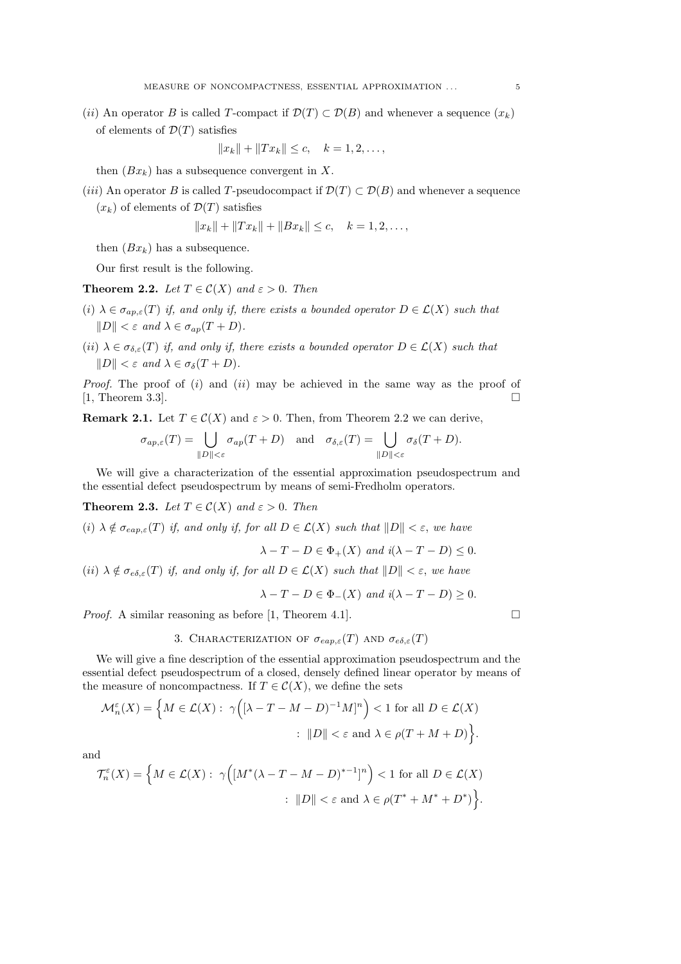(ii) An operator B is called T-compact if  $\mathcal{D}(T) \subset \mathcal{D}(B)$  and whenever a sequence  $(x_k)$ of elements of  $\mathcal{D}(T)$  satisfies

$$
||x_k|| + ||Tx_k|| \le c, \quad k = 1, 2, \dots,
$$

then  $(Bx_k)$  has a subsequence convergent in X.

- (iii) An operator B is called T-pseudocompact if  $\mathcal{D}(T) \subset \mathcal{D}(B)$  and whenever a sequence
	- $(x_k)$  of elements of  $\mathcal{D}(T)$  satisfies

$$
||x_k|| + ||Tx_k|| + ||Bx_k|| \le c, \quad k = 1, 2, \dots,
$$

then  $(Bx_k)$  has a subsequence.

Our first result is the following.

**Theorem 2.2.** *Let*  $T \in \mathcal{C}(X)$  *and*  $\varepsilon > 0$ *. Then* 

- (i)  $\lambda \in \sigma_{ap,\varepsilon}(T)$  *if, and only if, there exists a bounded operator*  $D \in \mathcal{L}(X)$  *such that*  $||D|| < \varepsilon$  and  $\lambda \in \sigma_{ap}(T+D)$ .
- (*ii*)  $\lambda \in \sigma_{\delta,\varepsilon}(T)$  *if, and only if, there exists a bounded operator*  $D \in \mathcal{L}(X)$  *such that*  $||D|| < \varepsilon$  *and*  $\lambda \in \sigma_{\delta}(T+D)$ *.*

*Proof.* The proof of (i) and (ii) may be achieved in the same way as the proof of [1, Theorem 3.3].

**Remark 2.1.** Let  $T \in \mathcal{C}(X)$  and  $\varepsilon > 0$ . Then, from Theorem 2.2 we can derive,

$$
\sigma_{ap,\varepsilon}(T) = \bigcup_{\|D\|<\varepsilon} \sigma_{ap}(T+D) \quad \text{and} \quad \sigma_{\delta,\varepsilon}(T) = \bigcup_{\|D\|<\varepsilon} \sigma_{\delta}(T+D).
$$

We will give a characterization of the essential approximation pseudospectrum and the essential defect pseudospectrum by means of semi-Fredholm operators.

**Theorem 2.3.** *Let*  $T \in \mathcal{C}(X)$  *and*  $\varepsilon > 0$ *. Then* 

(i)  $\lambda \notin \sigma_{eap,\varepsilon}(T)$  *if, and only if, for all*  $D \in \mathcal{L}(X)$  *such that*  $||D|| < \varepsilon$ *, we have* 

$$
\lambda - T - D \in \Phi_+(X) \text{ and } i(\lambda - T - D) \le 0.
$$

(*ii*)  $\lambda \notin \sigma_{e\delta,\varepsilon}(T)$  *if, and only if, for all*  $D \in \mathcal{L}(X)$  *such that*  $||D|| < \varepsilon$ *, we have* 

$$
\lambda - T - D \in \Phi_{-}(X) \text{ and } i(\lambda - T - D) \ge 0.
$$

*Proof.* A similar reasoning as before [1, Theorem 4.1].

3. CHARACTERIZATION OF  $\sigma_{eap,\varepsilon}(T)$  and  $\sigma_{e\delta,\varepsilon}(T)$ 

We will give a fine description of the essential approximation pseudospectrum and the essential defect pseudospectrum of a closed, densely defined linear operator by means of the measure of noncompactness. If  $T \in \mathcal{C}(X)$ , we define the sets

$$
\mathcal{M}_n^{\varepsilon}(X) = \left\{ M \in \mathcal{L}(X) : \ \gamma \Big( [\lambda - T - M - D)^{-1} M ]^n \right\} < 1 \text{ for all } D \in \mathcal{L}(X)
$$

$$
: \ \| D \| < \varepsilon \text{ and } \lambda \in \rho (T + M + D) \right\}.
$$

and

$$
\mathcal{T}_n^{\varepsilon}(X) = \Big\{ M \in \mathcal{L}(X) : \ \gamma \Big( [M^*(\lambda - T - M - D)^{*-1}]^n \Big) < 1 \text{ for all } D \in \mathcal{L}(X)
$$

$$
: \ \|D\| < \varepsilon \text{ and } \lambda \in \rho(T^* + M^* + D^*) \Big\}.
$$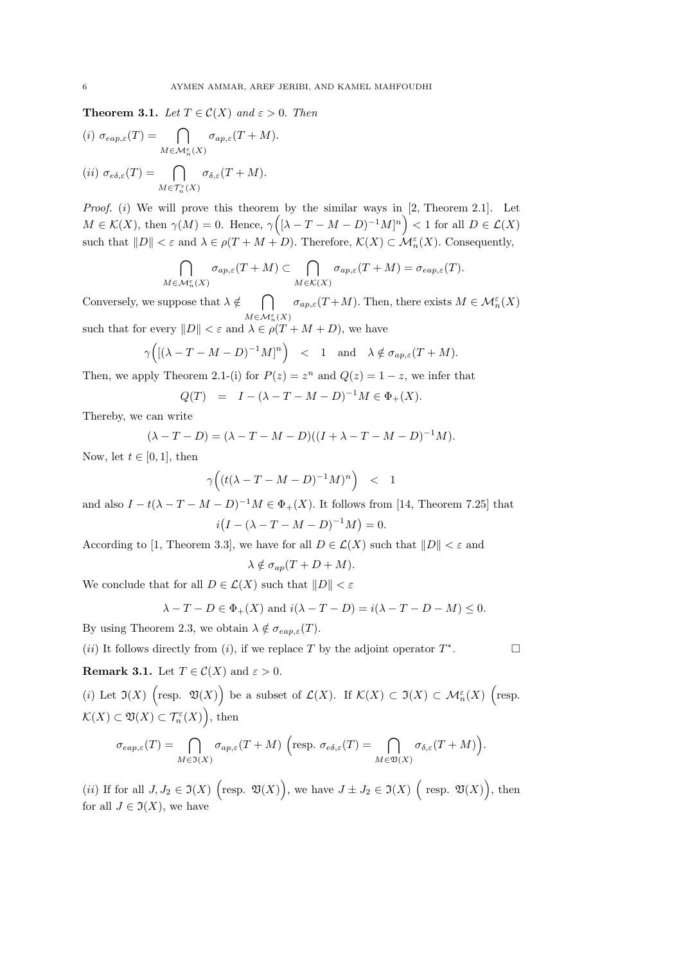**Theorem 3.1.** *Let*  $T \in \mathcal{C}(X)$  *and*  $\varepsilon > 0$ *. Then* 

$$
(i) \ \sigma_{\operatorname{eap},\varepsilon}(T) = \bigcap_{M \in \mathcal{M}_n^{\varepsilon}(X)} \sigma_{ap,\varepsilon}(T + M).
$$

$$
(ii) \ \sigma_{\operatorname{e\delta},\varepsilon}(T) = \bigcap_{M \in \mathcal{T}_n^{\varepsilon}(X)} \sigma_{\delta,\varepsilon}(T + M).
$$

M∈Mε

*Proof.* (i) We will prove this theorem by the similar ways in [2, Theorem 2.1]. Let  $M \in \mathcal{K}(X)$ , then  $\gamma(M) = 0$ . Hence,  $\gamma([\lambda - T - M - D)^{-1}M]^n$  < 1 for all  $D \in \mathcal{L}(X)$ such that  $||D|| < \varepsilon$  and  $\lambda \in \rho(T + M + D)$ . Therefore,  $\mathcal{K}(X) \subset \mathcal{M}_n^{\varepsilon}(X)$ . Consequently,

$$
\bigcap_{M \in \mathcal{M}_n^{\varepsilon}(X)} \sigma_{ap,\varepsilon}(T+M) \subset \bigcap_{M \in \mathcal{K}(X)} \sigma_{ap,\varepsilon}(T+M) = \sigma_{eap,\varepsilon}(T).
$$

Conversely, we suppose that  $\lambda \notin \bigcap$  $M \in \mathcal{M}^{\varepsilon}_n(X)$  $\sigma_{ap,\varepsilon}(T+M)$ . Then, there exists  $M \in \mathcal{M}_n^{\varepsilon}(X)$ such that for every  $||D|| < \varepsilon$  and  $\lambda \in \rho(T + M + D)$ , we have

$$
\gamma\Big( [(\lambda - T - M - D)^{-1}M]^n \Big) \quad < \quad 1 \quad \text{and} \quad \lambda \notin \sigma_{ap,\varepsilon}(T + M).
$$

Then, we apply Theorem 2.1-(i) for  $P(z) = z^n$  and  $Q(z) = 1 - z$ , we infer that

$$
Q(T) = I - (\lambda - T - M - D)^{-1}M \in \Phi_{+}(X).
$$

Thereby, we can write

$$
(\lambda - T - D) = (\lambda - T - M - D)((I + \lambda - T - M - D)^{-1}M).
$$

Now, let  $t \in [0, 1]$ , then

$$
\gamma\Big((t(\lambda-T-M-D)^{-1}M)^n\Big) < 1
$$

and also  $I - t(\lambda - T - M - D)^{-1}M \in \Phi_+(X)$ . It follows from [14, Theorem 7.25] that  $i(I - (\lambda - T - M - D)^{-1}M) = 0.$ 

According to [1, Theorem 3.3], we have for all  $D \in \mathcal{L}(X)$  such that  $||D|| < \varepsilon$  and

$$
\lambda \notin \sigma_{ap}(T+D+M).
$$

We conclude that for all  $D \in \mathcal{L}(X)$  such that  $||D|| < \varepsilon$ 

$$
\lambda - T - D \in \Phi_+(X) \text{ and } i(\lambda - T - D) = i(\lambda - T - D - M) \le 0.
$$

 $\Box$ 

By using Theorem 2.3, we obtain  $\lambda \notin \sigma_{\text{cap},\varepsilon}(T)$ .

(ii) It follows directly from  $(i)$ , if we replace T by the adjoint operator  $T^*$ 

**Remark 3.1.** Let  $T \in \mathcal{C}(X)$  and  $\varepsilon > 0$ .

(i) Let  $\Im(X)$   $\Big(\text{resp. }\mathfrak{V}(X)\Big)$  be a subset of  $\mathcal{L}(X)$ . If  $\mathcal{K}(X) \subset \mathfrak{I}(X) \subset \mathcal{M}_n^{\varepsilon}(X)$   $\Big(\text{resp. }$  $\mathcal{K}(X) \subset \mathfrak{V}(X) \subset \mathcal{T}_n^{\varepsilon}(X)$ , then

$$
\sigma_{eap,\varepsilon}(T) = \bigcap_{M \in \mathfrak{I}(X)} \sigma_{ap,\varepsilon}(T + M) \left( \text{resp. } \sigma_{e\delta,\varepsilon}(T) = \bigcap_{M \in \mathfrak{V}(X)} \sigma_{\delta,\varepsilon}(T + M) \right).
$$

(*ii*) If for all  $J, J_2 \in \mathfrak{I}(X)$  (resp.  $\mathfrak{V}(X)$ ), we have  $J \pm J_2 \in \mathfrak{I}(X)$  (resp.  $\mathfrak{V}(X)$ ), then for all  $J \in \mathfrak{I}(X)$ , we have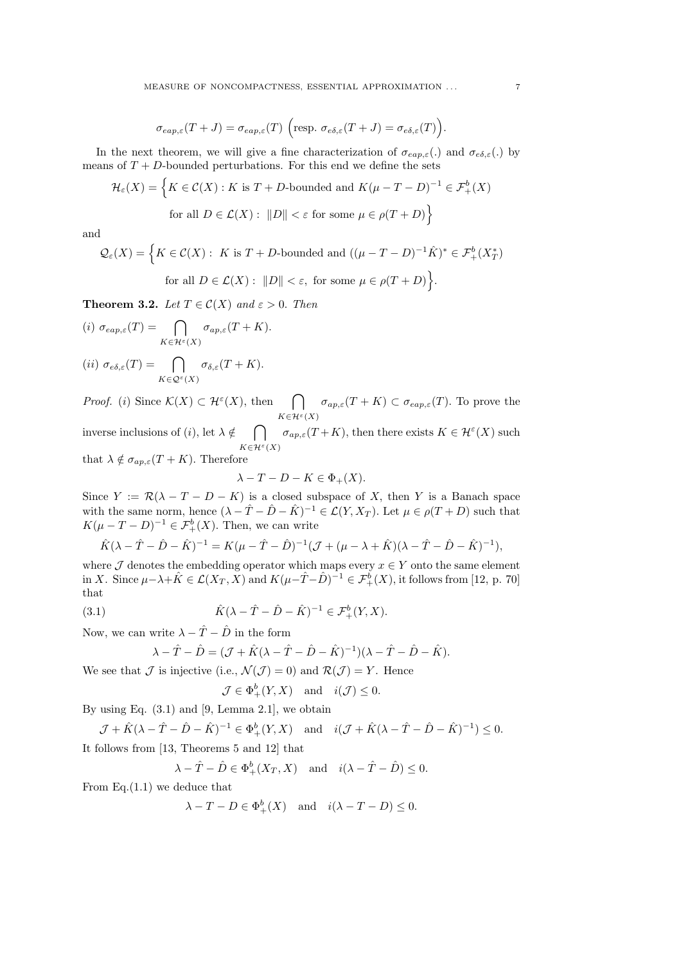$$
\sigma_{eap,\varepsilon}(T+J) = \sigma_{eap,\varepsilon}(T) \left( \text{resp. } \sigma_{e\delta,\varepsilon}(T+J) = \sigma_{e\delta,\varepsilon}(T) \right).
$$

In the next theorem, we will give a fine characterization of  $\sigma_{eap,\varepsilon}(\cdot)$  and  $\sigma_{e\delta,\varepsilon}(\cdot)$  by means of  $T + D$ -bounded perturbations. For this end we define the sets

$$
\mathcal{H}_{\varepsilon}(X) = \left\{ K \in \mathcal{C}(X) : K \text{ is } T + D\text{-bounded and } K(\mu - T - D)^{-1} \in \mathcal{F}^b_+(X) \right\}
$$

for all  $D \in \mathcal{L}(X)$ :  $||D|| < \varepsilon$  for some  $\mu \in \rho(T + D)$ 

and

$$
\mathcal{Q}_{\varepsilon}(X) = \Big\{ K \in \mathcal{C}(X) : \ K \text{ is } T + D\text{-bounded and } ((\mu - T - D)^{-1}\hat{K})^* \in \mathcal{F}_+^b(X_T^*)
$$
  
for all  $D \in \mathcal{L}(X) : ||D|| < \varepsilon$ , for some  $\mu \in \rho(T + D) \Big\}$ .

for all 
$$
D \in \mathcal{L}(X)
$$
:  $||D|| < \varepsilon$ , for some  $\mu \in \rho(T + D)$ 

**Theorem 3.2.** *Let*  $T \in \mathcal{C}(X)$  *and*  $\varepsilon > 0$ *. Then* 

$$
(i) \ \sigma_{\text{cap},\varepsilon}(T) = \bigcap_{K \in \mathcal{H}^{\varepsilon}(X)} \sigma_{\text{ap},\varepsilon}(T+K).
$$

$$
(ii) \ \sigma_{\varepsilon\delta,\varepsilon}(T) = \bigcap_{K \in \mathcal{Q}^{\varepsilon}(X)} \sigma_{\delta,\varepsilon}(T+K).
$$

*Proof.* (*i*) Since  $\mathcal{K}(X) \subset \mathcal{H}^{\varepsilon}(X)$ , then  $\bigcap$  $K\!\in\!\mathcal{H}^\varepsilon(X)$  $\sigma_{ap,\varepsilon}(T+K) \subset \sigma_{eap,\varepsilon}(T)$ . To prove the inverse inclusions of (*i*), let  $\lambda \notin \bigcap$  $K\in\mathcal{H}^{\varepsilon}(X)$  $\sigma_{ap,\varepsilon}(T+K)$ , then there exists  $K \in \mathcal{H}^{\varepsilon}(X)$  such

that  $\lambda \notin \sigma_{ap,\varepsilon}(T+K)$ . Therefore

$$
\lambda - T - D - K \in \Phi_+(X).
$$

Since  $Y := \mathcal{R}(\lambda - T - D - K)$  is a closed subspace of X, then Y is a Banach space with the same norm, hence  $(\lambda - \hat{T} - \hat{D} - \hat{K})^{-1} \in \mathcal{L}(Y, X_T)$ . Let  $\mu \in \rho(T + D)$  such that  $K(\mu - T - D)^{-1} \in \mathcal{F}^b_+(X)$ . Then, we can write

$$
\hat{K}(\lambda - \hat{T} - \hat{D} - \hat{K})^{-1} = K(\mu - \hat{T} - \hat{D})^{-1}(\mathcal{J} + (\mu - \lambda + \hat{K})(\lambda - \hat{T} - \hat{D} - \hat{K})^{-1}),
$$

where  $\mathcal J$  denotes the embedding operator which maps every  $x \in Y$  onto the same element in X. Since  $\mu-\lambda+\hat{K}\in\mathcal{L}(X_T,X)$  and  $K(\mu-\hat{T}-\hat{D})^{-1}\in\mathcal{F}^b_+(X)$ , it follows from [12, p. 70] that

(3.1) 
$$
\hat{K}(\lambda - \hat{T} - \hat{D} - \hat{K})^{-1} \in \mathcal{F}_+^b(Y, X).
$$

Now, we can write  $\lambda - \hat{T} - \hat{D}$  in the form

$$
\lambda - \hat{T} - \hat{D} = (\mathcal{J} + \hat{K}(\lambda - \hat{T} - \hat{D} - \hat{K})^{-1})(\lambda - \hat{T} - \hat{D} - \hat{K}).
$$

We see that  $\mathcal J$  is injective (i.e.,  $\mathcal N(\mathcal J)=0$ ) and  $\mathcal R(\mathcal J)=Y$ . Hence

$$
\mathcal{J} \in \Phi_+^b(Y, X) \quad \text{and} \quad i(\mathcal{J}) \le 0.
$$

By using Eq.  $(3.1)$  and [9, Lemma 2.1], we obtain

 $\mathcal{J} + \hat{K}(\lambda - \hat{T} - \hat{D} - \hat{K})^{-1} \in \Phi_{+}^{b}(Y, X)$  and  $i(\mathcal{J} + \hat{K}(\lambda - \hat{T} - \hat{D} - \hat{K})^{-1}) \leq 0$ .

It follows from [13, Theorems 5 and 12] that

$$
\lambda - \hat{T} - \hat{D} \in \Phi_+^b(X_T, X) \quad \text{and} \quad i(\lambda - \hat{T} - \hat{D}) \le 0.
$$

From Eq.(1.1) we deduce that

$$
\lambda - T - D \in \Phi_+^b(X) \quad \text{and} \quad i(\lambda - T - D) \le 0.
$$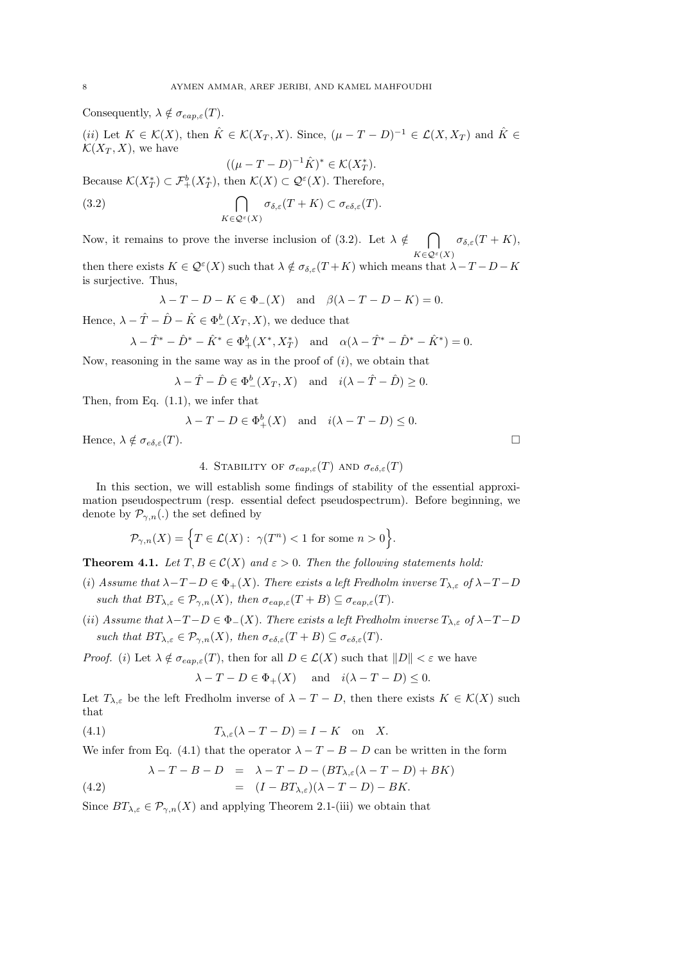Consequently,  $\lambda \notin \sigma_{eap,\varepsilon}(T)$ .

(ii) Let  $K \in \mathcal{K}(X)$ , then  $\hat{K} \in \mathcal{K}(X_T, X)$ . Since,  $(\mu - T - D)^{-1} \in \mathcal{L}(X, X_T)$  and  $\hat{K} \in$  $\mathcal{K}(X_T, X)$ , we have

$$
((\mu - T - D)^{-1}\hat{K})^* \in \mathcal{K}(X_T^*).
$$

Because  $\mathcal{K}(X^*_T) \subset \mathcal{F}^b_+(X^*_T)$ , then  $\mathcal{K}(X) \subset \mathcal{Q}^{\varepsilon}(X)$ . Therefore,

(3.2) 
$$
\bigcap_{K \in \mathcal{Q}^{\varepsilon}(X)} \sigma_{\delta,\varepsilon}(T+K) \subset \sigma_{e\delta,\varepsilon}(T).
$$

Now, it remains to prove the inverse inclusion of  $(3.2)$ . Let  $\lambda \notin \bigcap$  $K\in \mathcal{Q}^{\varepsilon}(X)$  $\sigma_{\delta,\varepsilon}(T+K),$ 

then there exists  $K \in \mathcal{Q}^{\varepsilon}(X)$  such that  $\lambda \notin \sigma_{\delta,\varepsilon}(T+K)$  which means that  $\lambda - T - D - K$ is surjective. Thus,

$$
\lambda - T - D - K \in \Phi_-(X) \quad \text{and} \quad \beta(\lambda - T - D - K) = 0.
$$

Hence,  $\lambda - \hat{T} - \hat{D} - \hat{K} \in \Phi^b_-(X_T, X)$ , we deduce that

$$
\lambda - \hat{T}^* - \hat{D}^* - \hat{K}^* \in \Phi_+^b(X^*, X_T^*)
$$
 and  $\alpha(\lambda - \hat{T}^* - \hat{D}^* - \hat{K}^*) = 0$ .

Now, reasoning in the same way as in the proof of  $(i)$ , we obtain that

$$
\lambda - \hat{T} - \hat{D} \in \Phi^b_-(X_T, X)
$$
 and  $i(\lambda - \hat{T} - \hat{D}) \ge 0$ .

Then, from Eq. (1.1), we infer that

$$
\lambda - T - D \in \Phi_+^b(X) \quad \text{and} \quad i(\lambda - T - D) \le 0.
$$

Hence,  $\lambda \notin \sigma_{\epsilon\delta,\epsilon}(T)$ .

4. STABILITY OF  $\sigma_{eap,\varepsilon}(T)$  and  $\sigma_{e\delta,\varepsilon}(T)$ 

In this section, we will establish some findings of stability of the essential approximation pseudospectrum (resp. essential defect pseudospectrum). Before beginning, we denote by  $\mathcal{P}_{\gamma,n}(.)$  the set defined by

$$
\mathcal{P}_{\gamma,n}(X) = \Big\{ T \in \mathcal{L}(X) : \ \gamma(T^n) < 1 \text{ for some } n > 0 \Big\}.
$$

**Theorem 4.1.** *Let*  $T, B \in \mathcal{C}(X)$  *and*  $\varepsilon > 0$ *. Then the following statements hold:* 

- (i) Assume that  $\lambda T D \in \Phi_+(X)$ . There exists a left Fredholm inverse  $T_{\lambda, \varepsilon}$  of  $\lambda T D$ *such that*  $BT_{\lambda,\varepsilon} \in \mathcal{P}_{\gamma,n}(X)$ *, then*  $\sigma_{\varepsilon a p,\varepsilon}(T+B) \subseteq \sigma_{\varepsilon a p,\varepsilon}(T)$ *.*
- (ii) *Assume that*  $\lambda-T-D \in \Phi_-(X)$ . *There exists a left Fredholm inverse*  $T_{\lambda,\varepsilon}$  *of*  $\lambda-T-D$ *such that*  $BT_{\lambda,\varepsilon} \in \mathcal{P}_{\gamma,n}(X)$ *, then*  $\sigma_{e\delta,\varepsilon}(T+B) \subseteq \sigma_{e\delta,\varepsilon}(T)$ *.*

*Proof.* (i) Let  $\lambda \notin \sigma_{\text{cap},\varepsilon}(T)$ , then for all  $D \in \mathcal{L}(X)$  such that  $||D|| < \varepsilon$  we have

$$
\lambda - T - D \in \Phi_+(X) \quad \text{and} \quad i(\lambda - T - D) \le 0.
$$

Let  $T_{\lambda,\varepsilon}$  be the left Fredholm inverse of  $\lambda - T - D$ , then there exists  $K \in \mathcal{K}(X)$  such that

(4.1) 
$$
T_{\lambda,\varepsilon}(\lambda - T - D) = I - K \text{ on } X.
$$

We infer from Eq. (4.1) that the operator  $\lambda - T - B - D$  can be written in the form

$$
\lambda - T - B - D = \lambda - T - D - (BT_{\lambda, \varepsilon}(\lambda - T - D) + BK)
$$

(4.2) 
$$
= (I - BT_{\lambda,\varepsilon})(\lambda - T - D) - BK.
$$

Since  $BT_{\lambda,\varepsilon} \in \mathcal{P}_{\gamma,n}(X)$  and applying Theorem 2.1-(iii) we obtain that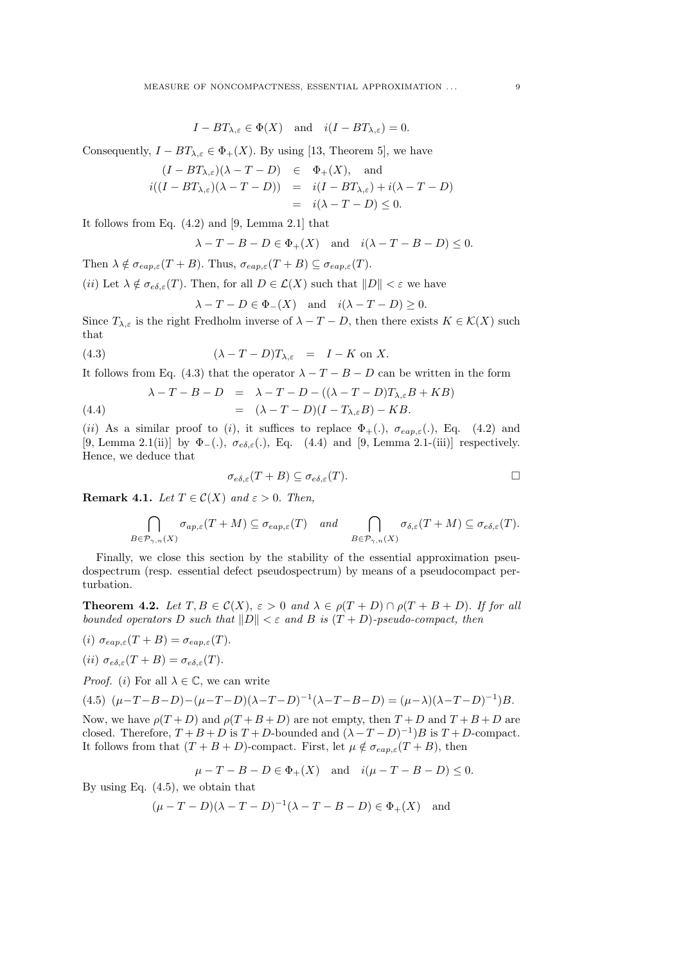$$
I - BT_{\lambda, \varepsilon} \in \Phi(X) \quad \text{and} \quad i(I - BT_{\lambda, \varepsilon}) = 0.
$$

Consequently,  $I - BT_{\lambda,\varepsilon} \in \Phi_+(X)$ . By using [13, Theorem 5], we have

$$
(I - BT_{\lambda,\varepsilon})(\lambda - T - D) \in \Phi_{+}(X), \text{ and}
$$
  

$$
i((I - BT_{\lambda,\varepsilon})(\lambda - T - D)) = i(I - BT_{\lambda,\varepsilon}) + i(\lambda - T - D)
$$
  

$$
= i(\lambda - T - D) \leq 0.
$$

It follows from Eq. (4.2) and [9, Lemma 2.1] that

$$
\lambda - T - B - D \in \Phi_+(X) \quad \text{and} \quad i(\lambda - T - B - D) \le 0.
$$

Then  $\lambda \notin \sigma_{\text{cap},\varepsilon}(T+B)$ . Thus,  $\sigma_{\text{cap},\varepsilon}(T+B) \subseteq \sigma_{\text{cap},\varepsilon}(T)$ .

(ii) Let  $\lambda \notin \sigma_{e\delta,\varepsilon}(T)$ . Then, for all  $D \in \mathcal{L}(X)$  such that  $||D|| < \varepsilon$  we have

$$
\lambda - T - D \in \Phi_-(X) \quad \text{and} \quad i(\lambda - T - D) \ge 0.
$$

Since  $T_{\lambda,\varepsilon}$  is the right Fredholm inverse of  $\lambda - T - D$ , then there exists  $K \in \mathcal{K}(X)$  such that

(4.3) 
$$
(\lambda - T - D)T_{\lambda, \varepsilon} = I - K \text{ on } X.
$$

It follows from Eq. (4.3) that the operator  $\lambda - T - B - D$  can be written in the form

(4.4) 
$$
\begin{aligned}\n\lambda - T - B - D &= \lambda - T - D - ((\lambda - T - D)T_{\lambda, \varepsilon}B + KB) \\
&= (\lambda - T - D)(I - T_{\lambda, \varepsilon}B) - KB.\n\end{aligned}
$$

(ii) As a similar proof to (i), it suffices to replace  $\Phi_{+}(\cdot)$ ,  $\sigma_{eap,\varepsilon}(\cdot)$ , Eq. (4.2) and [9, Lemma 2.1(ii)] by  $\Phi_-(.)$ ,  $\sigma_{e\delta,\varepsilon}(.)$ , Eq. (4.4) and [9, Lemma 2.1-(iii)] respectively. Hence, we deduce that

$$
\sigma_{e\delta,\varepsilon}(T+B) \subseteq \sigma_{e\delta,\varepsilon}(T).
$$

**Remark 4.1.** *Let*  $T \in \mathcal{C}(X)$  *and*  $\varepsilon > 0$ *. Then,* 

$$
\bigcap_{B \in \mathcal{P}_{\gamma,n}(X)} \sigma_{ap,\varepsilon}(T+M) \subseteq \sigma_{eap,\varepsilon}(T) \quad and \quad \bigcap_{B \in \mathcal{P}_{\gamma,n}(X)} \sigma_{\delta,\varepsilon}(T+M) \subseteq \sigma_{e\delta,\varepsilon}(T).
$$

Finally, we close this section by the stability of the essential approximation pseudospectrum (resp. essential defect pseudospectrum) by means of a pseudocompact perturbation.

**Theorem 4.2.** *Let*  $T, B \in \mathcal{C}(X), \varepsilon > 0$  *and*  $\lambda \in \rho(T + D) \cap \rho(T + B + D)$ . *If for all bounded operators* D *such that*  $||D|| < \varepsilon$  *and* B *is*  $(T + D)$ *-pseudo-compact, then* 

$$
(i) \ \sigma_{eap,\varepsilon}(T+B) = \sigma_{eap,\varepsilon}(T).
$$

(ii)  $\sigma_{e\delta,\varepsilon}(T+B) = \sigma_{e\delta,\varepsilon}(T)$ .

*Proof.* (*i*) For all  $\lambda \in \mathbb{C}$ , we can write

$$
(4.5)\ (\mu - T - B - D) - (\mu - T - D)(\lambda - T - D)^{-1}(\lambda - T - B - D) = (\mu - \lambda)(\lambda - T - D)^{-1})B.
$$

Now, we have  $\rho(T+D)$  and  $\rho(T+B+D)$  are not empty, then  $T+D$  and  $T+B+D$  are closed. Therefore,  $T + B + D$  is  $T + D$ -bounded and  $(\lambda - T - D)^{-1}$  $B$  is  $T + D$ -compact. It follows from that  $(T + B + D)$ -compact. First, let  $\mu \notin \sigma_{eap,\varepsilon}(T + B)$ , then

$$
\mu - T - B - D \in \Phi_+(X)
$$
 and  $i(\mu - T - B - D) \le 0$ .

By using Eq. (4.5), we obtain that

$$
(\mu - T - D)(\lambda - T - D)^{-1}(\lambda - T - B - D) \in \Phi_{+}(X)
$$
 and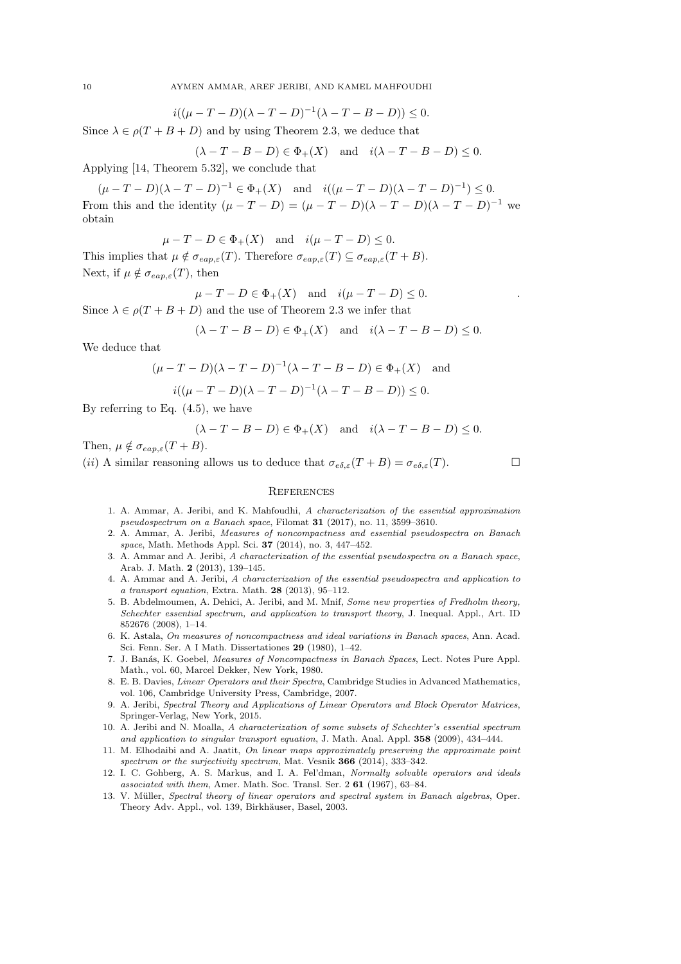10 AYMEN AMMAR, AREF JERIBI, AND KAMEL MAHFOUDHI

$$
i((\mu - T - D)(\lambda - T - D)^{-1}(\lambda - T - B - D)) \le 0.
$$

Since  $\lambda \in \rho(T + B + D)$  and by using Theorem 2.3, we deduce that

$$
(\lambda - T - B - D) \in \Phi_+(X) \quad \text{and} \quad i(\lambda - T - B - D) \le 0.
$$

Applying [14, Theorem 5.32], we conclude that

 $(\mu - T - D)(\lambda - T - D)^{-1} \in \Phi_+(X)$  and  $i((\mu - T - D)(\lambda - T - D)^{-1}) \leq 0$ . From this and the identity  $(\mu - T - D) = (\mu - T - D)(\lambda - T - D)(\lambda - T - D)^{-1}$  we obtain

$$
\mu - T - D \in \Phi_+(X) \quad \text{and} \quad i(\mu - T - D) \le 0.
$$

This implies that  $\mu \notin \sigma_{\text{cap},\varepsilon}(T)$ . Therefore  $\sigma_{\text{cap},\varepsilon}(T) \subseteq \sigma_{\text{cap},\varepsilon}(T+B)$ . Next, if  $\mu \notin \sigma_{eap,\varepsilon}(T)$ , then

$$
\mu - T - D \in \Phi_+(X) \quad \text{and} \quad i(\mu - T - D) \le 0.
$$

Since  $\lambda \in \rho(T + B + D)$  and the use of Theorem 2.3 we infer that

$$
(\lambda - T - B - D) \in \Phi_+(X) \quad \text{and} \quad i(\lambda - T - B - D) \le 0.
$$

We deduce that

$$
(\mu - T - D)(\lambda - T - D)^{-1}(\lambda - T - B - D) \in \Phi_+(X)
$$
 and  
 $i((\mu - T - D)(\lambda - T - D)^{-1}(\lambda - T - B - D)) \le 0.$ 

By referring to Eq.  $(4.5)$ , we have

$$
(\lambda - T - B - D) \in \Phi_+(X) \quad \text{and} \quad i(\lambda - T - B - D) \le 0.
$$

Then,  $\mu \notin \sigma_{cap,\varepsilon}(T + B)$ .

(ii) A similar reasoning allows us to deduce that  $\sigma_{e\delta,\varepsilon}(T+B) = \sigma_{e\delta,\varepsilon}(T)$ .

### **REFERENCES**

- 1. A. Ammar, A. Jeribi, and K. Mahfoudhi, A characterization of the essential approximation pseudospectrum on a Banach space, Filomat 31 (2017), no. 11, 3599–3610.
- 2. A. Ammar, A. Jeribi, Measures of noncompactness and essential pseudospectra on Banach space, Math. Methods Appl. Sci. 37 (2014), no. 3, 447-452.
- 3. A. Ammar and A. Jeribi, A characterization of the essential pseudospectra on a Banach space, Arab. J. Math. 2 (2013), 139–145.
- 4. A. Ammar and A. Jeribi, A characterization of the essential pseudospectra and application to a transport equation, Extra. Math. 28 (2013), 95–112.
- 5. B. Abdelmoumen, A. Dehici, A. Jeribi, and M. Mnif, Some new properties of Fredholm theory, Schechter essential spectrum, and application to transport theory, J. Inequal. Appl., Art. ID 852676 (2008), 1–14.
- 6. K. Astala, On measures of noncompactness and ideal variations in Banach spaces, Ann. Acad. Sci. Fenn. Ser. A I Math. Dissertationes 29 (1980), 1–42.
- 7. J. Ban´as, K. Goebel, Measures of Noncompactness in Banach Spaces, Lect. Notes Pure Appl. Math., vol. 60, Marcel Dekker, New York, 1980.
- 8. E. B. Davies, Linear Operators and their Spectra, Cambridge Studies in Advanced Mathematics, vol. 106, Cambridge University Press, Cambridge, 2007.
- 9. A. Jeribi, Spectral Theory and Applications of Linear Operators and Block Operator Matrices, Springer-Verlag, New York, 2015.
- 10. A. Jeribi and N. Moalla, A characterization of some subsets of Schechter's essential spectrum and application to singular transport equation, J. Math. Anal. Appl. 358 (2009), 434–444.
- 11. M. Elhodaibi and A. Jaatit, On linear maps approximately preserving the approximate point spectrum or the surjectivity spectrum, Mat. Vesnik **366** (2014), 333–342.
- 12. I. C. Gohberg, A. S. Markus, and I. A. Fel'dman, Normally solvable operators and ideals associated with them, Amer. Math. Soc. Transl. Ser. 2 61 (1967), 63–84.
- 13. V. Müller, Spectral theory of linear operators and spectral system in Banach algebras, Oper. Theory Adv. Appl., vol. 139, Birkhäuser, Basel, 2003.